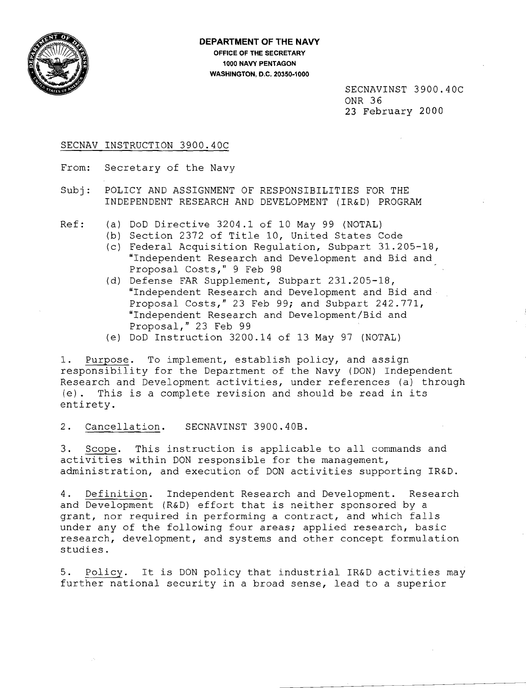

SECNAVINST 3900.40C ONR 36 23 February 2000

### SECNAV INSTRUCTION 3900.40C

From: Secretary of the Navy

Subj: POLICY AND ASSIGNMENT OF RESPONSIBILITIES FOR THE INDEPENDENT RESEARCH AND DEVELOPMENT (IR&D) PROGRAM

- Ref: (a) 000 Directive 3204.1 of 10 May 99 (NOTAL)
	- (b) Section 2372 of Title 10, United States Code
		- (c) Federal Acquisition Regulation, Subpart 31.205-18, "Independent Research and Development and Bid and Proposal Costs," 9 Feb 98
		- (d) Defense FAR Supplement, Subpart 231.205-18, "Independent Research and Development and Bid and Proposal Costs," 23 Feb 99; and Subpart 242.771, "Independent Research and Development/Bid and Proposal," 23 Feb 99
		- (e) 000 Instruction 3200.14 of 13 May 97 (NOTAL)

1. Purpose. To implement, establish policy, and assign responsibility for the Department of the Navy (DON) Independent Research and Development activities, under references (a) through (e). This is a complete revision and should be read in its entirety.

### 2. Cancellation. SECNAVINST 3900.40B.

3. Scope. This instruction is applicable to all commands and activities within DON responsible for the management, administration, and execution of DON activities supporting IR&D.

4. Definition. Independent Research and Development. Research and Development (R&D) effort that is neither sponsored by a grant, nor required in performing a contract, and which falls under any of the following four areas; applied research, basic research, development, and systems and other concept formulation studies.

5. Policy. It is DON policy that industrial IR&D activities may further national security in a broad sense, lead to a superior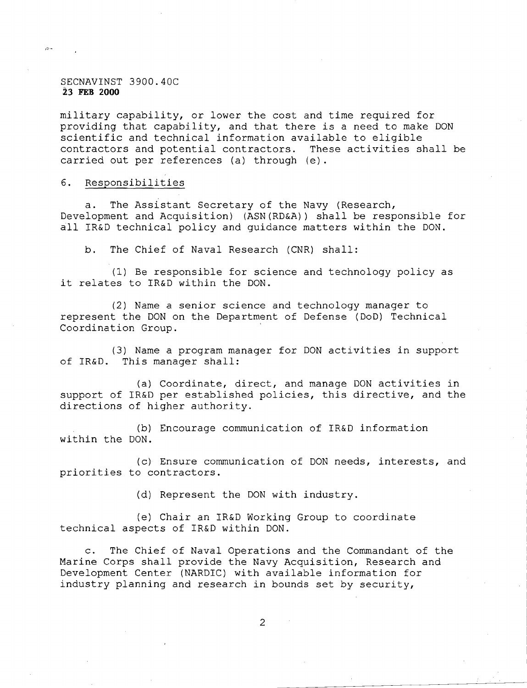### SECNAVINST 3900.40C **23 FEB 2000**

 $\tilde{\mathcal{D}}$ 

military capability, or lower the cost and time required for providing that capability, and that there is a need to make DON scientific and technical information available to eligible contractors and potential contractors. These activities shall be carried out per references (a) through (e).

## 6. Responsibilities

a. The Assistant Secretary of the Navy (Research, Development and Acquisition) (ASN(RD&A)) shall be responsible for all IR&D technical policy and guidance matters within the DON.

b. The Chief of Naval Research (CNR) shall:

(1) Be responsible for science and technology policy as it relates to IR&D within the DON.

(2) Name a senior science and technology manager to represent the DON on the Department of Defense (000) Technical Coordination Group.

(3) Name a program manager for DON activities in support of IR&D. This manager shall:

(a) Coordinate, direct, and manage DON activities in support of IR&D per established policies, this directive, and the directions of higher authority.

(b) Encourage communication of IR&D information within the DON.

(c) Ensure communication of DON needs, interests, and priorities to contractors.

(d) Represent the DON with industry.

(e) Chair an IR&D Working Group to coordinate technical aspects of IR&D within DON.

c. The Chief of Naval Operations and the Commandant of the Marine Corps shall provide the Navy Acquisition, Research and Development Center (NARDIC) with available information for industry planning and research in bounds set by security,

2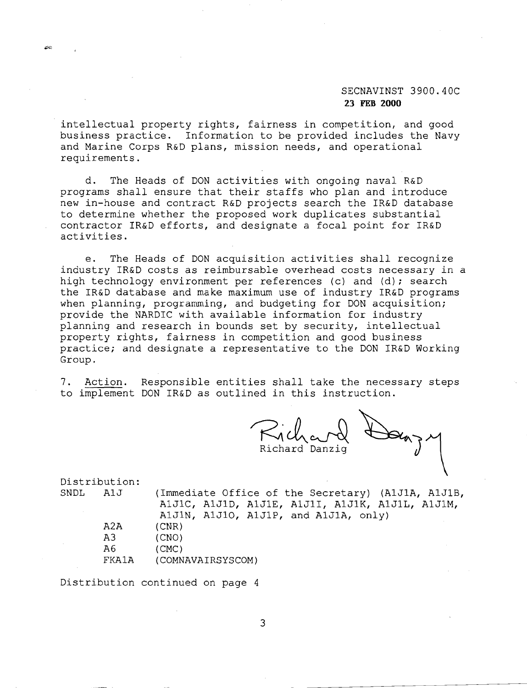# SECNAVINST 3900.40C **23 FEB 2000**

intellectual property rights, fairness in competition, and good business practice. Information to be provided includes the Navy and Marine Corps R&D plans, mission needs, and operational requirements.

d. The Heads of DON activities with ongoing naval R&D programs shall ensure that their staffs who plan and introduce new in-house and contract R&D projects search the IR&D database to determine whether the proposed work duplicates substantial contractor IR&D efforts, and designate a focal point for IR&D activities.

e. The Heads of DON acquisition activities shall recognize industry IR&D costs as reimbursable overhead costs necessary in a high technology environment per references (c) and (d); search the IR&D database and make maximum use of industry IR&D programs when planning, programming, and budgeting for DON acquisition; provide the NARDIC with available information for industry planning and research in bounds set by security, intellectual property rights, fairness in competition and good business practice; and designate a representative to the DON IR&D Working Group.

7. Action. Responsible entities shall take the necessary steps to implement DON IR&D as outlined in this instruction.

Richard Don, Richard Danz<br>Richard Danzig

Distribution:<br>SNDL AlJ

 $\infty$ 

(Immediate Office of the Secretary) (A1J1A, A1J1B, AIJIC, AIJID, AIJIE, AIJII, AIJIK, AIJIL, AIJIM, AIJIN, AIJIO, AIJIP, and AIJIA, only) A2A (CNR) A3 (CNO) A6 (CMC) FKAIA (COMNAVAIRSYSCOM)

Distribution continued on page 4

3